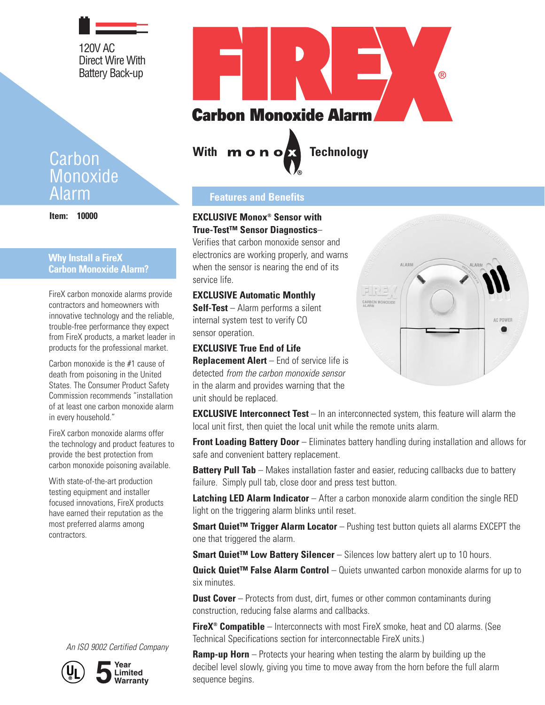120V AC Direct Wire With Battery Back-up

# Carbon **Monoxide** Alarm

**Item: 10000**

## **Why Install a FireX Carbon Monoxide Alarm?**

FireX carbon monoxide alarms provide contractors and homeowners with innovative technology and the reliable, trouble-free performance they expect from FireX products, a market leader in products for the professional market.

Carbon monoxide is the #1 cause of death from poisoning in the United States. The Consumer Product Safety Commission recommends "installation of at least one carbon monoxide alarm in every household."

FireX carbon monoxide alarms offer the technology and product features to provide the best protection from carbon monoxide poisoning available.

With state-of-the-art production testing equipment and installer focused innovations, FireX products have earned their reputation as the most preferred alarms among contractors.





**5 Year Limited Warranty**



With **m o n of Technology** 

# **Features and Benefits**

## **EXCLUSIVE Monox® Sensor with True-Test™ Sensor Diagnostics**–

Verifies that carbon monoxide sensor and electronics are working properly, and warns when the sensor is nearing the end of its service life.

## **EXCLUSIVE Automatic Monthly**

**Self-Test** – Alarm performs a silent internal system test to verify CO sensor operation.

## **EXCLUSIVE True End of Life**

**Replacement Alert** – End of service life is detected from the carbon monoxide sensor in the alarm and provides warning that the unit should be replaced.



**EXCLUSIVE Interconnect Test** – In an interconnected system, this feature will alarm the local unit first, then quiet the local unit while the remote units alarm.

**Front Loading Battery Door** – Eliminates battery handling during installation and allows for safe and convenient battery replacement.

**Battery Pull Tab** – Makes installation faster and easier, reducing callbacks due to battery failure. Simply pull tab, close door and press test button.

**Latching LED Alarm Indicator** – After a carbon monoxide alarm condition the single RED light on the triggering alarm blinks until reset.

**Smart Quiet™ Trigger Alarm Locator** – Pushing test button quiets all alarms EXCEPT the one that triggered the alarm.

**Smart Quiet™ Low Battery Silencer** – Silences low battery alert up to 10 hours.

**Quick Quiet™ False Alarm Control** – Quiets unwanted carbon monoxide alarms for up to six minutes.

**Dust Cover** – Protects from dust, dirt, fumes or other common contaminants during construction, reducing false alarms and callbacks.

**FireX<sup>®</sup> Compatible** – Interconnects with most FireX smoke, heat and CO alarms. (See Technical Specifications section for interconnectable FireX units.)

**Ramp-up Horn** – Protects your hearing when testing the alarm by building up the decibel level slowly, giving you time to move away from the horn before the full alarm sequence begins.